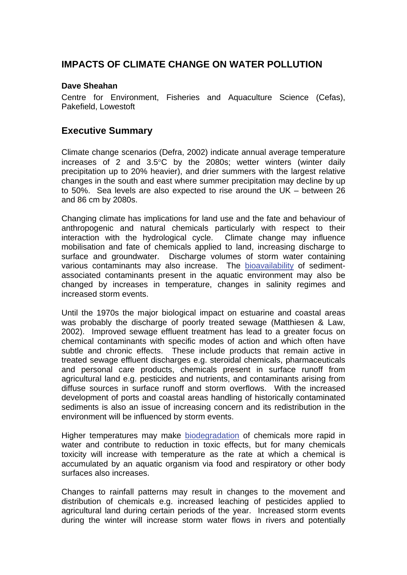## **IMPACTS OF CLIMATE CHANGE ON WATER POLLUTION**

### **Dave Sheahan**

Centre for Environment, Fisheries and Aquaculture Science (Cefas), Pakefield, Lowestoft

### **Executive Summary**

Climate change scenarios (Defra, 2002) indicate annual average temperature increases of 2 and 3.5°C by the 2080s; wetter winters (winter daily precipitation up to 20% heavier), and drier summers with the largest relative changes in the south and east where summer precipitation may decline by up to 50%. Sea levels are also expected to rise around the UK – between 26 and 86 cm by 2080s.

Changing climate has implications for land use and the fate and behaviour of anthropogenic and natural chemicals particularly with respect to their interaction with the hydrological cycle. Climate change may influence mobilisation and fate of chemicals applied to land, increasing discharge to surface and groundwater. Discharge volumes of storm water containing various contaminants may also increase. The [bioavailability](http://www.mccip.org.uk/arc/glossary.htm) of sedimentassociated contaminants present in the aquatic environment may also be changed by increases in temperature, changes in salinity regimes and increased storm events.

Until the 1970s the major biological impact on estuarine and coastal areas was probably the discharge of poorly treated sewage (Matthiesen & Law, 2002). Improved sewage effluent treatment has lead to a greater focus on chemical contaminants with specific modes of action and which often have subtle and chronic effects. These include products that remain active in treated sewage effluent discharges e.g. steroidal chemicals, pharmaceuticals and personal care products, chemicals present in surface runoff from agricultural land e.g. pesticides and nutrients, and contaminants arising from diffuse sources in surface runoff and storm overflows. With the increased development of ports and coastal areas handling of historically contaminated sediments is also an issue of increasing concern and its redistribution in the environment will be influenced by storm events.

Higher temperatures may make [biodegradation](http://www.mccip.org.uk/arc/glossary.htm) of chemicals more rapid in water and contribute to reduction in toxic effects, but for many chemicals toxicity will increase with temperature as the rate at which a chemical is accumulated by an aquatic organism via food and respiratory or other body surfaces also increases.

Changes to rainfall patterns may result in changes to the movement and distribution of chemicals e.g. increased leaching of pesticides applied to agricultural land during certain periods of the year. Increased storm events during the winter will increase storm water flows in rivers and potentially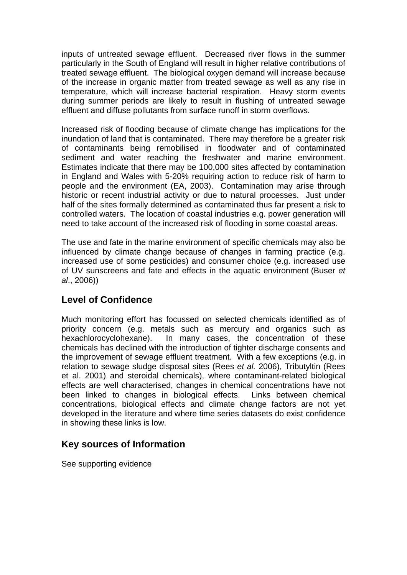inputs of untreated sewage effluent. Decreased river flows in the summer particularly in the South of England will result in higher relative contributions of treated sewage effluent. The biological oxygen demand will increase because of the increase in organic matter from treated sewage as well as any rise in temperature, which will increase bacterial respiration. Heavy storm events during summer periods are likely to result in flushing of untreated sewage effluent and diffuse pollutants from surface runoff in storm overflows.

Increased risk of flooding because of climate change has implications for the inundation of land that is contaminated. There may therefore be a greater risk of contaminants being remobilised in floodwater and of contaminated sediment and water reaching the freshwater and marine environment. Estimates indicate that there may be 100,000 sites affected by contamination in England and Wales with 5-20% requiring action to reduce risk of harm to people and the environment (EA, 2003). Contamination may arise through historic or recent industrial activity or due to natural processes. Just under half of the sites formally determined as contaminated thus far present a risk to controlled waters. The location of coastal industries e.g. power generation will need to take account of the increased risk of flooding in some coastal areas.

The use and fate in the marine environment of specific chemicals may also be influenced by climate change because of changes in farming practice (e.g. increased use of some pesticides) and consumer choice (e.g. increased use of UV sunscreens and fate and effects in the aquatic environment (Buser *et al*., 2006))

# **Level of Confidence**

Much monitoring effort has focussed on selected chemicals identified as of priority concern (e.g. metals such as mercury and organics such as hexachlorocyclohexane). In many cases, the concentration of these chemicals has declined with the introduction of tighter discharge consents and the improvement of sewage effluent treatment. With a few exceptions (e.g. in relation to sewage sludge disposal sites (Rees *et al.* 2006), Tributyltin (Rees et al. 2001) and steroidal chemicals), where contaminant-related biological effects are well characterised, changes in chemical concentrations have not been linked to changes in biological effects. Links between chemical concentrations, biological effects and climate change factors are not yet developed in the literature and where time series datasets do exist confidence in showing these links is low.

# **Key sources of Information**

See supporting evidence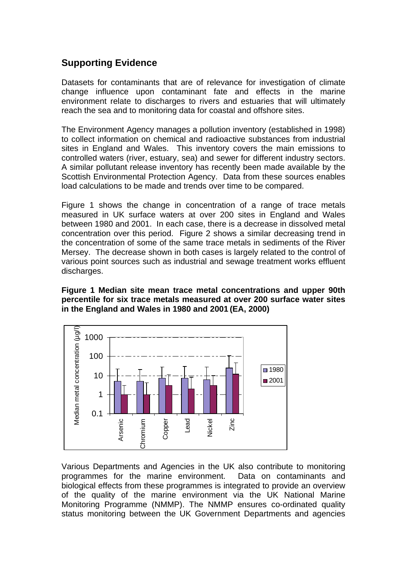# **Supporting Evidence**

Datasets for contaminants that are of relevance for investigation of climate change influence upon contaminant fate and effects in the marine environment relate to discharges to rivers and estuaries that will ultimately reach the sea and to monitoring data for coastal and offshore sites.

The Environment Agency manages a pollution inventory (established in 1998) to collect information on chemical and radioactive substances from industrial sites in England and Wales. This inventory covers the main emissions to controlled waters (river, estuary, sea) and sewer for different industry sectors. A similar pollutant release inventory has recently been made available by the Scottish Environmental Protection Agency. Data from these sources enables load calculations to be made and trends over time to be compared.

Figure 1 shows the change in concentration of a range of trace metals measured in UK surface waters at over 200 sites in England and Wales between 1980 and 2001. In each case, there is a decrease in dissolved metal concentration over this period. Figure 2 shows a similar decreasing trend in the concentration of some of the same trace metals in sediments of the River Mersey. The decrease shown in both cases is largely related to the control of various point sources such as industrial and sewage treatment works effluent discharges.

#### **Figure 1 Median site mean trace metal concentrations and upper 90th percentile for six trace metals measured at over 200 surface water sites in the England and Wales in 1980 and 2001 (EA, 2000)**



Various Departments and Agencies in the UK also contribute to monitoring programmes for the marine environment. Data on contaminants and biological effects from these programmes is integrated to provide an overview of the quality of the marine environment via the UK National Marine Monitoring Programme (NMMP). The NMMP ensures co-ordinated quality status monitoring between the UK Government Departments and agencies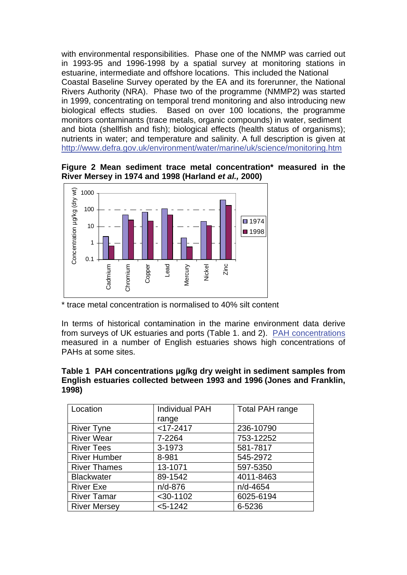with environmental responsibilities. Phase one of the NMMP was carried out in 1993-95 and 1996-1998 by a spatial survey at monitoring stations in estuarine, intermediate and offshore locations. This included the National Coastal Baseline Survey operated by the EA and its forerunner, the National Rivers Authority (NRA). Phase two of the programme (NMMP2) was started in 1999, concentrating on temporal trend monitoring and also introducing new biological effects studies. Based on over 100 locations, the programme monitors contaminants (trace metals, organic compounds) in water, sediment and biota (shellfish and fish); biological effects (health status of organisms); nutrients in water; and temperature and salinity. A full description is given at <http://www.defra.gov.uk/environment/water/marine/uk/science/monitoring.htm>





<sup>\*</sup> trace metal concentration is normalised to 40% silt content

In terms of historical contamination in the marine environment data derive from surveys of UK estuaries and ports (Table 1. and 2). [PAH concentrations](http://www.mccip.org.uk/arc/glossary.htm) measured in a number of English estuaries shows high concentrations of PAHs at some sites.

### **Table 1 PAH concentrations µg/kg dry weight in sediment samples from English estuaries collected between 1993 and 1996 (Jones and Franklin, 1998)**

| Location            | <b>Individual PAH</b> | <b>Total PAH range</b> |
|---------------------|-----------------------|------------------------|
|                     | range                 |                        |
| <b>River Tyne</b>   | $<$ 17-2417           | 236-10790              |
| <b>River Wear</b>   | 7-2264                | 753-12252              |
| <b>River Tees</b>   | 3-1973                | 581-7817               |
| <b>River Humber</b> | 8-981                 | 545-2972               |
| <b>River Thames</b> | 13-1071               | 597-5350               |
| <b>Blackwater</b>   | 89-1542               | 4011-8463              |
| <b>River Exe</b>    | $n/d-876$             | n/d-4654               |
| <b>River Tamar</b>  | $<$ 30-1102           | 6025-6194              |
| <b>River Mersey</b> | $< 5 - 1242$          | 6-5236                 |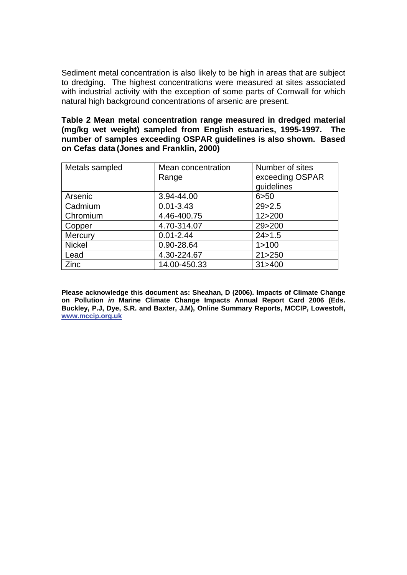Sediment metal concentration is also likely to be high in areas that are subject to dredging. The highest concentrations were measured at sites associated with industrial activity with the exception of some parts of Cornwall for which natural high background concentrations of arsenic are present.

**Table 2 Mean metal concentration range measured in dredged material (mg/kg wet weight) sampled from English estuaries, 1995-1997. The number of samples exceeding OSPAR guidelines is also shown. Based on Cefas data (Jones and Franklin, 2000)** 

| Metals sampled | Mean concentration | Number of sites |
|----------------|--------------------|-----------------|
|                | Range              | exceeding OSPAR |
|                |                    | guidelines      |
| Arsenic        | 3.94-44.00         | 6 > 50          |
| Cadmium        | $0.01 - 3.43$      | 29 > 2.5        |
| Chromium       | 4.46-400.75        | 12>200          |
| Copper         | 4.70-314.07        | 29>200          |
| Mercury        | $0.01 - 2.44$      | 24 > 1.5        |
| <b>Nickel</b>  | 0.90-28.64         | 1 > 100         |
| Lead           | 4.30-224.67        | 21 > 250        |
| Zinc           | 14.00-450.33       | 31 > 400        |

**Please acknowledge this document as: Sheahan, D (2006). Impacts of Climate Change on Pollution** *in* **Marine Climate Change Impacts Annual Report Card 2006 (Eds. Buckley, P.J, Dye, S.R. and Baxter, J.M), Online Summary Reports, MCCIP, Lowestoft, [www.mccip.org.uk](http://www.mccip.org.uk/)**